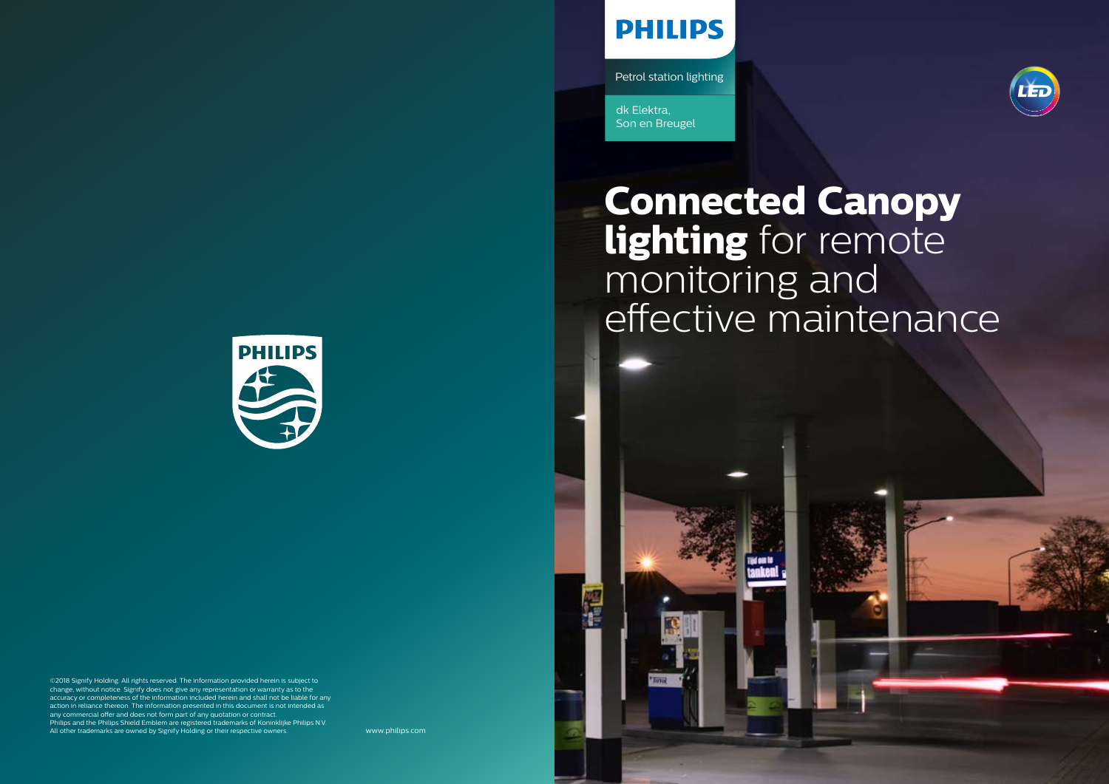# **Connected Canopy lighting** for remote monitoring and effective maintenance

# **PHILIPS**

Petrol station lighting

dk Elektra, Son en Breugel

www.philips.com